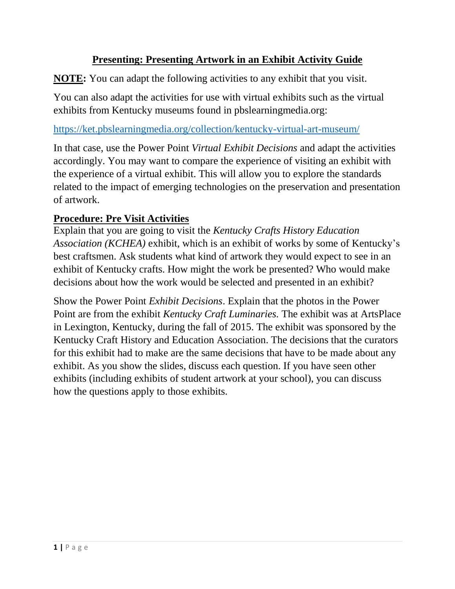### **Presenting: Presenting Artwork in an Exhibit Activity Guide**

**NOTE:** You can adapt the following activities to any exhibit that you visit.

You can also adapt the activities for use with virtual exhibits such as the virtual exhibits from Kentucky museums found in pbslearningmedia.org:

<https://ket.pbslearningmedia.org/collection/kentucky-virtual-art-museum/>

In that case, use the Power Point *Virtual Exhibit Decisions* and adapt the activities accordingly. You may want to compare the experience of visiting an exhibit with the experience of a virtual exhibit. This will allow you to explore the standards related to the impact of emerging technologies on the preservation and presentation of artwork.

### **Procedure: Pre Visit Activities**

Explain that you are going to visit the *Kentucky Crafts History Education Association (KCHEA)* exhibit, which is an exhibit of works by some of Kentucky's best craftsmen. Ask students what kind of artwork they would expect to see in an exhibit of Kentucky crafts. How might the work be presented? Who would make decisions about how the work would be selected and presented in an exhibit?

Show the Power Point *Exhibit Decisions*. Explain that the photos in the Power Point are from the exhibit *Kentucky Craft Luminaries.* The exhibit was at ArtsPlace in Lexington, Kentucky, during the fall of 2015. The exhibit was sponsored by the Kentucky Craft History and Education Association. The decisions that the curators for this exhibit had to make are the same decisions that have to be made about any exhibit. As you show the slides, discuss each question. If you have seen other exhibits (including exhibits of student artwork at your school), you can discuss how the questions apply to those exhibits.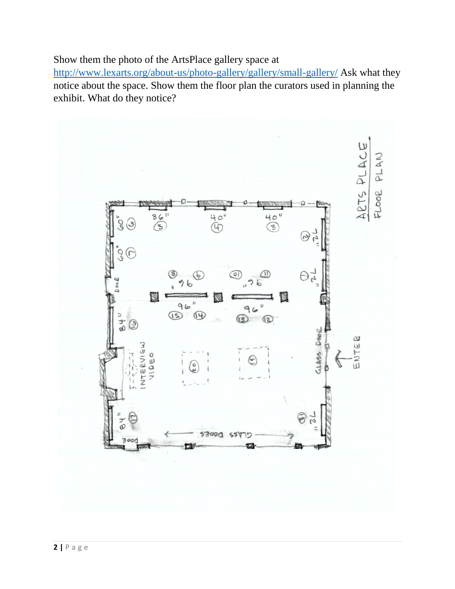Show them the photo of the ArtsPlace gallery space at

<http://www.lexarts.org/about-us/photo-gallery/gallery/small-gallery/> Ask what they notice about the space. Show them the floor plan the curators used in planning the exhibit. What do they notice?

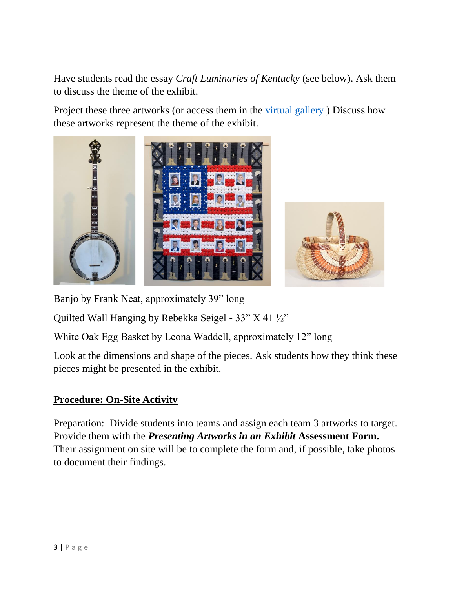Have students read the essay *Craft Luminaries of Kentucky* (see below). Ask them to discuss the theme of the exhibit.

Project these three artworks (or access them in the [virtual gallery](http://www.kchea.org/craft_luminary_exhibit/exhibit_gallery) ) Discuss how these artworks represent the theme of the exhibit.



Banjo by Frank Neat, approximately 39" long

Quilted Wall Hanging by Rebekka Seigel - 33" X 41 ½"

White Oak Egg Basket by Leona Waddell, approximately 12" long

Look at the dimensions and shape of the pieces. Ask students how they think these pieces might be presented in the exhibit.

### **Procedure: On-Site Activity**

Preparation: Divide students into teams and assign each team 3 artworks to target. Provide them with the *Presenting Artworks in an Exhibit* **Assessment Form.**  Their assignment on site will be to complete the form and, if possible, take photos to document their findings.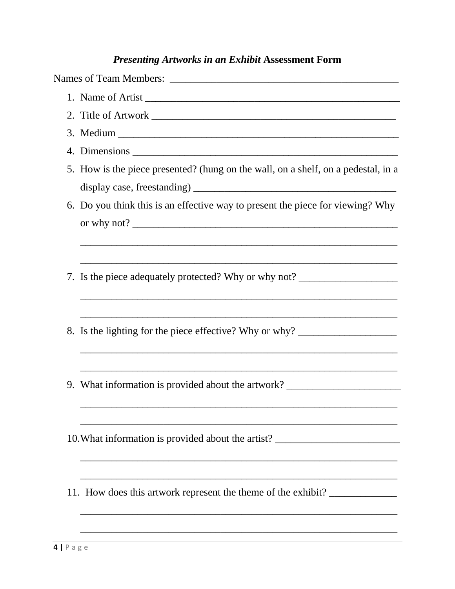# **Presenting Artworks in an Exhibit Assessment Form**

|    | 5. How is the piece presented? (hung on the wall, on a shelf, on a pedestal, in a |
|----|-----------------------------------------------------------------------------------|
|    |                                                                                   |
|    | 6. Do you think this is an effective way to present the piece for viewing? Why    |
|    |                                                                                   |
|    | 7. Is the piece adequately protected? Why or why not? __________________________  |
|    | 8. Is the lighting for the piece effective? Why or why? ________________________  |
| 9. | What information is provided about the artwork? _________________________________ |
|    | 10. What information is provided about the artist? _____________________________  |
|    | 11. How does this artwork represent the theme of the exhibit?                     |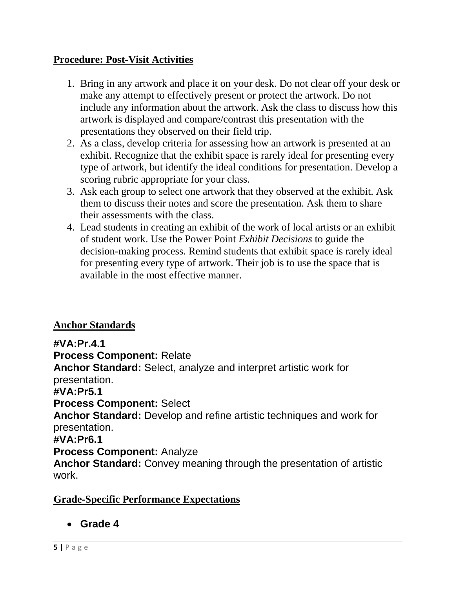### **Procedure: Post-Visit Activities**

- 1. Bring in any artwork and place it on your desk. Do not clear off your desk or make any attempt to effectively present or protect the artwork. Do not include any information about the artwork. Ask the class to discuss how this artwork is displayed and compare/contrast this presentation with the presentations they observed on their field trip.
- 2. As a class, develop criteria for assessing how an artwork is presented at an exhibit. Recognize that the exhibit space is rarely ideal for presenting every type of artwork, but identify the ideal conditions for presentation. Develop a scoring rubric appropriate for your class.
- 3. Ask each group to select one artwork that they observed at the exhibit. Ask them to discuss their notes and score the presentation. Ask them to share their assessments with the class.
- 4. Lead students in creating an exhibit of the work of local artists or an exhibit of student work. Use the Power Point *Exhibit Decisions* to guide the decision-making process. Remind students that exhibit space is rarely ideal for presenting every type of artwork. Their job is to use the space that is available in the most effective manner.

### **Anchor Standards**

**#VA:Pr.4.1 Process Component:** Relate **Anchor Standard:** Select, analyze and interpret artistic work for presentation. **#VA:Pr5.1 Process Component:** Select **Anchor Standard:** Develop and refine artistic techniques and work for presentation. **#VA:Pr6.1 Process Component:** Analyze **Anchor Standard:** Convey meaning through the presentation of artistic

work.

### **Grade-Specific Performance Expectations**

**Grade 4**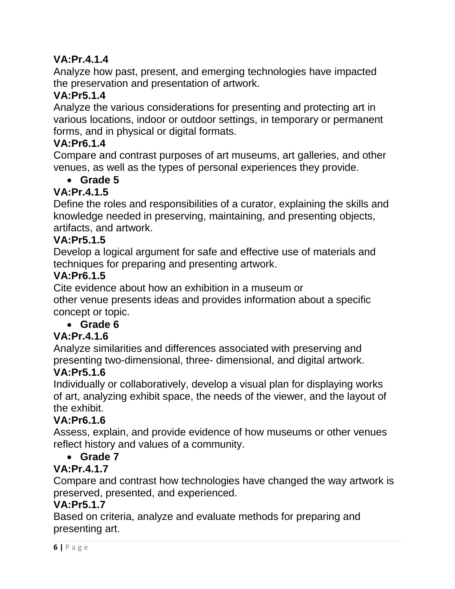## **VA:Pr.4.1.4**

Analyze how past, present, and emerging technologies have impacted the preservation and presentation of artwork.

## **VA:Pr5.1.4**

Analyze the various considerations for presenting and protecting art in various locations, indoor or outdoor settings, in temporary or permanent forms, and in physical or digital formats.

## **VA:Pr6.1.4**

Compare and contrast purposes of art museums, art galleries, and other venues, as well as the types of personal experiences they provide.

## **Grade 5**

### **VA:Pr.4.1.5**

Define the roles and responsibilities of a curator, explaining the skills and knowledge needed in preserving, maintaining, and presenting objects, artifacts, and artwork.

### **VA:Pr5.1.5**

Develop a logical argument for safe and effective use of materials and techniques for preparing and presenting artwork.

### **VA:Pr6.1.5**

Cite evidence about how an exhibition in a museum or other venue presents ideas and provides information about a specific concept or topic.

## **Grade 6**

## **VA:Pr.4.1.6**

Analyze similarities and differences associated with preserving and presenting two-dimensional, three- dimensional, and digital artwork.

## **VA:Pr5.1.6**

Individually or collaboratively, develop a visual plan for displaying works of art, analyzing exhibit space, the needs of the viewer, and the layout of the exhibit.

### **VA:Pr6.1.6**

Assess, explain, and provide evidence of how museums or other venues reflect history and values of a community.

### **Grade 7**

## **VA:Pr.4.1.7**

Compare and contrast how technologies have changed the way artwork is preserved, presented, and experienced.

### **VA:Pr5.1.7**

Based on criteria, analyze and evaluate methods for preparing and presenting art.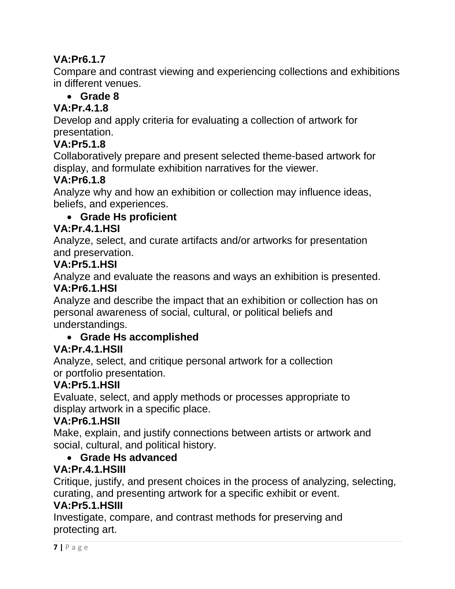## **VA:Pr6.1.7**

Compare and contrast viewing and experiencing collections and exhibitions in different venues.

## **Grade 8**

## **VA:Pr.4.1.8**

Develop and apply criteria for evaluating a collection of artwork for presentation.

## **VA:Pr5.1.8**

Collaboratively prepare and present selected theme-based artwork for display, and formulate exhibition narratives for the viewer.

## **VA:Pr6.1.8**

Analyze why and how an exhibition or collection may influence ideas, beliefs, and experiences.

## **Grade Hs proficient**

### **VA:Pr.4.1.HSI**

Analyze, select, and curate artifacts and/or artworks for presentation and preservation.

## **VA:Pr5.1.HSI**

Analyze and evaluate the reasons and ways an exhibition is presented.

### **VA:Pr6.1.HSI**

Analyze and describe the impact that an exhibition or collection has on personal awareness of social, cultural, or political beliefs and understandings.

### **Grade Hs accomplished**

## **VA:Pr.4.1.HSII**

Analyze, select, and critique personal artwork for a collection or portfolio presentation.

## **VA:Pr5.1.HSII**

Evaluate, select, and apply methods or processes appropriate to display artwork in a specific place.

### **VA:Pr6.1.HSII**

Make, explain, and justify connections between artists or artwork and social, cultural, and political history.

## **Grade Hs advanced**

## **VA:Pr.4.1.HSIII**

Critique, justify, and present choices in the process of analyzing, selecting, curating, and presenting artwork for a specific exhibit or event.

## **VA:Pr5.1.HSIII**

Investigate, compare, and contrast methods for preserving and protecting art.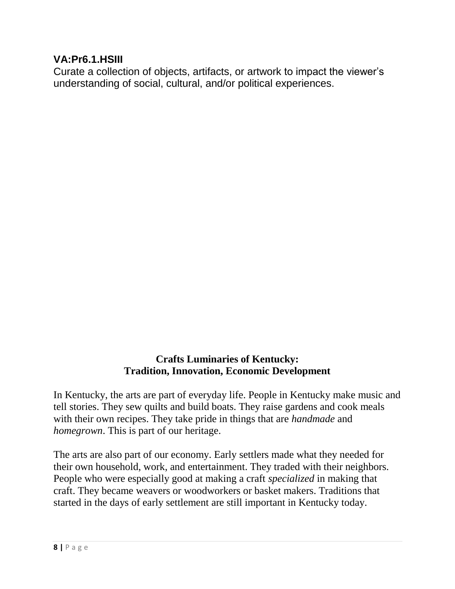### **VA:Pr6.1.HSIII**

Curate a collection of objects, artifacts, or artwork to impact the viewer's understanding of social, cultural, and/or political experiences.

#### **Crafts Luminaries of Kentucky: Tradition, Innovation, Economic Development**

In Kentucky, the arts are part of everyday life. People in Kentucky make music and tell stories. They sew quilts and build boats. They raise gardens and cook meals with their own recipes. They take pride in things that are *handmade* and *homegrown*. This is part of our heritage.

The arts are also part of our economy. Early settlers made what they needed for their own household, work, and entertainment. They traded with their neighbors. People who were especially good at making a craft *specialized* in making that craft. They became weavers or woodworkers or basket makers. Traditions that started in the days of early settlement are still important in Kentucky today.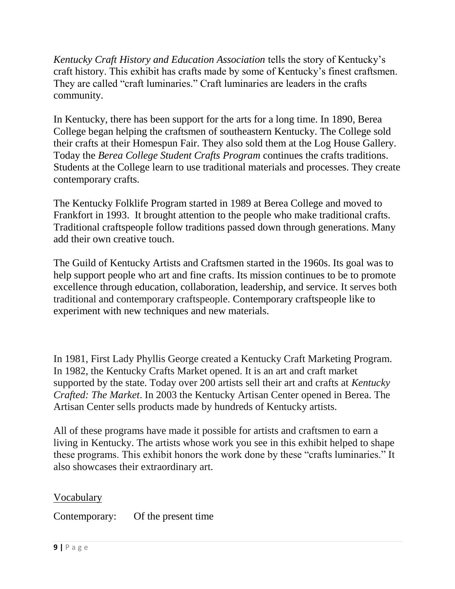*Kentucky Craft History and Education Association* tells the story of Kentucky's craft history. This exhibit has crafts made by some of Kentucky's finest craftsmen. They are called "craft luminaries." Craft luminaries are leaders in the crafts community.

In Kentucky, there has been support for the arts for a long time. In 1890, Berea College began helping the craftsmen of southeastern Kentucky. The College sold their crafts at their Homespun Fair. They also sold them at the Log House Gallery. Today the *Berea College Student Crafts Program* continues the crafts traditions. Students at the College learn to use traditional materials and processes. They create contemporary crafts.

The Kentucky Folklife Program started in 1989 at Berea College and moved to Frankfort in 1993. It brought attention to the people who make traditional crafts. Traditional craftspeople follow traditions passed down through generations. Many add their own creative touch.

The Guild of Kentucky Artists and Craftsmen started in the 1960s. Its goal was to help support people who art and fine crafts. Its mission continues to be to promote excellence through education, collaboration, leadership, and service. It serves both traditional and contemporary craftspeople. Contemporary craftspeople like to experiment with new techniques and new materials.

In 1981, First Lady Phyllis George created a Kentucky Craft Marketing Program. In 1982, the Kentucky Crafts Market opened. It is an art and craft market supported by the state. Today over 200 artists sell their art and crafts at *Kentucky Crafted: The Market*. In 2003 the Kentucky Artisan Center opened in Berea. The Artisan Center sells products made by hundreds of Kentucky artists.

All of these programs have made it possible for artists and craftsmen to earn a living in Kentucky. The artists whose work you see in this exhibit helped to shape these programs. This exhibit honors the work done by these "crafts luminaries." It also showcases their extraordinary art.

### Vocabulary

Contemporary: Of the present time